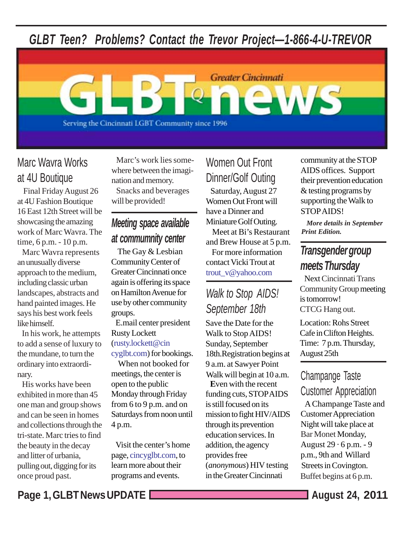*GLBT Teen? Problems? Contact the Trevor Project—1-866-4-U-TREVOR*



## Marc Wavra Works at 4U Boutique

 Final Friday August 26 at 4U Fashion Boutique 16 East 12th Street will be showcasing the amazing work of Marc Wavra. The time, 6 p.m. - 10 p.m.

 Marc Wavra represents an unusually diverse approach to the medium, including classic urban landscapes, abstracts and hand painted images. He says his best work feels like himself.

 In his work, he attempts to add a sense of luxury to the mundane, to turn the ordinary into extraordinary.

 His works have been exhibited in more than 45 one man and group shows and can be seen in homes and collections through the tri-state. Marc tries to find the beauty in the decay and litter of urbania, pulling out, digging for its once proud past.

 Marc's work lies somewhere between the imagination and memory. Snacks and beverages will be provided!

## *Meeting space available at commumnity center*

 The Gay & Lesbian Community Center of Greater Cincinnati once again is offering its space on Hamilton Avenue for use by other community groups.

 E.mail center president Rusty Lockett (rusty.lockett@cincyglbt.com) for bookings.

 When not booked for meetings, the center is open to the public Monday through Friday from 6 to 9 p.m. and on Saturdays from noon until 4 p.m.

 Visit the center's home page, cincyglbt.com, to learn more about their programs and events.

 Saturday, August 27 Women Out Front will have a Dinner and Miniature Golf Outing. Meet at Bi's Restaurant and Brew House at 5 p.m. For more information contact Vicki Trout at trout\_v@yahoo.com Women Out Front Dinner/Golf Outing

## *Walk to Stop AIDS! September 18th*

Save the Date for the Walk to Stop AIDS! Sunday, September 18th.Registration begins at 9 a.m. at Sawyer Point Walk will begin at 10 a.m.

 **E**ven with the recent funding cuts, STOP AIDS is still focused on its mission to fight HIV/AIDS through its prevention education services. In addition, the agency provides free (*anonymous*) HIV testing in the Greater Cincinnati

community at the STOP AIDS offices. Support their prevention education & testing programs by supporting the Walk to STOP AIDS!

 *More details in September Print Edition.*

## *Transgender group meets Thursday*

Next Cincinnati Trans Community Group meeting is tomorrow! CTCG Hang out.

Location: Rohs Street Cafe in Clifton Heights. Time: 7 p.m. Thursday, August 25th

## Champange Taste Customer Appreciation

 A Champange Taste and Customer Appreciation Night will take place at Bar Monet Monday, August  $29 \cdot 6$  p.m. - 9 p.m., 9th and Willard Streets in Covington. Buffet begins at 6 p.m.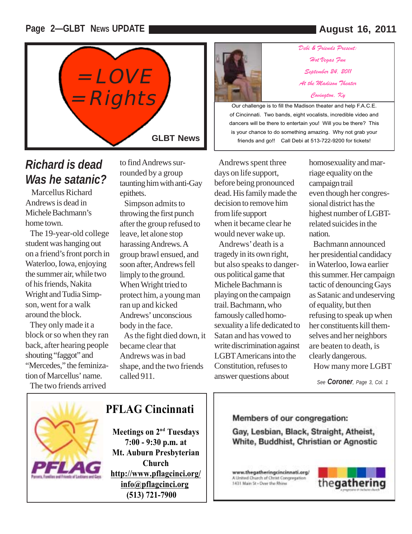#### **Page 2—GLBT NEWS UPDATE August 16, 2011**



## *Richard is dead Was he satanic?*

 Marcellus Richard Andrews is dead in Michele Bachmann's home town.

 The 19-year-old college student was hanging out on a friend's front porch in Waterloo, Iowa, enjoying the summer air, while two of his friends, Nakita Wright and Tudia Simpson, went for a walk around the block.

 They only made it a block or so when they ran back, after hearing people shouting "faggot" and "Mercedes," the feminization of Marcellus' name.

The two friends arrived

to find Andrews surrounded by a group taunting him with anti-Gay epithets.

 Simpson admits to throwing the first punch after the group refused to leave, let alone stop harassing Andrews. A group brawl ensued, and soon after, Andrews fell limply to the ground. When Wright tried to protect him, a young man ran up and kicked Andrews' unconscious body in the face. As the fight died down, it became clear that Andrews was in bad shape, and the two friends called 911.



*Debi & Friends Present: Hot Vegas Fun September 24, 2011 At the Madison Theater Covington, Ky* 

Our challenge is to fill the Madison theater and help F.A.C.E. of Cincinnati. Two bands, eight vocalists, incredible video and dancers will be there to entertain you! Will you be there? This is your chance to do something amazing. Why not grab your friends and go!! Call Debi at 513-722-9200 for tickets!

 Andrews spent three days on life support, before being pronounced dead. His family made the decision to remove him from life support when it became clear he would never wake up.

 Andrews' death is a tragedy in its own right, but also speaks to dangerous political game that Michele Bachmann is playing on the campaign trail. Bachmann, who famously called homosexuality a life dedicated to Satan and has vowed to write discrimination against LGBT Americans into the Constitution, refuses to answer questions about

homosexuality and marriage equality on the campaign trail even though her congressional district has the highest number of LGBTrelated suicides in the nation.

 Bachmann announced her presidential candidacy in Waterloo, Iowa earlier this summer. Her campaign tactic of denouncing Gays as Satanic and undeserving of equality, but then refusing to speak up when her constituents kill themselves and her neighbors are beaten to death, is clearly dangerous.

How many more LGBT

*See Coroner, Page 3, Col. 1*



### **PFLAG Cincinnati**

**Meetings on 2<sup>nd</sup> Tuesdays 7:00 - 9:30 p.m. at Mt. Auburn Presbyterian Church http://www.pflagcinci.org/ info@pflagcinci.org (513) 721-7900**

#### Members of our congregation:

Gay, Lesbian, Black, Straight, Atheist, White, Buddhist, Christian or Agnostic

www.thegatheringcincinnati.org/ A United Church of Christ Congregation 1431 Main St - Over the Rhine

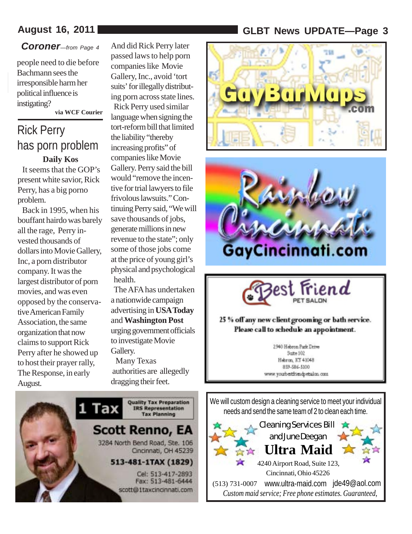### *Coroner—from Page 4*

people need to die before Bachmann sees the irresponsible harm her political influence is instigating?

 **via WCF Courier**

## **Daily Kos** Rick Perry has porn problem

 It seems that the GOP's present white savior, Rick Perry, has a big porno problem.

 Back in 1995, when his bouffant hairdo was barely all the rage, Perry invested thousands of dollars into Movie Gallery, Inc, a porn distributor company. It was the largest distributor of porn movies, and was even opposed by the conservative American Family Association, the same organization that now claims to support Rick Perry after he showed up to host their prayer rally, The Response, in early August.

And did Rick Perry later passed laws to help porn companies like Movie Gallery, Inc., avoid 'tort suits' for illegally distributing porn across state lines. Rick Perry used similar language when signing the tort-reform bill that limited the liability "thereby increasing profits" of companies like Movie Gallery. Perry said the bill would "remove the incentive for trial lawyers to file frivolous lawsuits." Continuing Perry said, "We will save thousands of jobs, generate millions in new revenue to the state"; only some of those jobs come at the price of young girl's physical and psychological health.

 The AFA has undertaken a nationwide campaign advertising in **USA Today** and **Washington Post** urging government officials to investigate Movie Gallery.

 Many Texas authorities are allegedly dragging their feet.



### **August 16, 2011 GLBT News UPDATE—Page 3**







#### 25 % off any new client grooming or bath service. Please call to schedule an appointment.

2940 Hebron Park Drive Sce=102 Herron, KY 41048 859-586-5100 www.youtbestfriendpetsalon.com.

We will custom design a cleaning service to meet your individual needs and send the same team of 2 to clean each time.

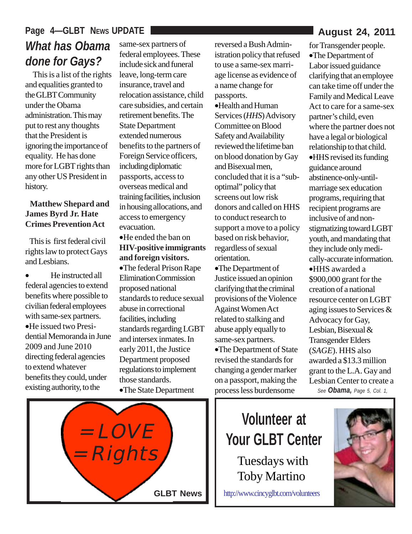## Page 4-GLBT NEWS UPDATE *What has Obama done for Gays?*

 This is a list of the rights and equalities granted to the GLBT Community under the Obama administration. This may put to rest any thoughts that the President is ignoring the importance of equality. He has done more for LGBT rights than any other US President in history.

#### **Matthew Shepard and James Byrd Jr. Hate Crimes Prevention Act**

 This is first federal civil rights law to protect Gays and Lesbians.

• He instructed all federal agencies to extend benefits where possible to civilian federal employees with same-sex partners. •He issued two Presidential Memoranda in June 2009 and June 2010 directing federal agencies to extend whatever benefits they could, under existing authority, to the

same-sex partners of federal employees. These include sick and funeral leave, long-term care insurance, travel and relocation assistance, child care subsidies, and certain retirement benefits. The State Department extended numerous benefits to the partners of Foreign Service officers, including diplomatic passports, access to overseas medical and training facilities, inclusion in housing allocations, and access to emergency evacuation.

•He ended the ban on **HIV-positive immigrants and foreign visitors.** •The federal Prison Rape Elimination Commission proposed national standards to reduce sexual abuse in correctional facilities, including standards regarding LGBT and intersex inmates. In early 2011, the Justice Department proposed regulations to implement those standards. •The State Department

reversed a Bush Administration policy that refused to use a same-sex marriage license as evidence of a name change for passports. •Health and Human Services (*HHS*) Advisory Committee on Blood Safety and Availability reviewed the lifetime ban on blood donation by Gay and Bisexual men, concluded that it is a "suboptimal" policy that screens out low risk donors and called on HHS to conduct research to support a move to a policy based on risk behavior, regardless of sexual orientation.

•The Department of Justice issued an opinion clarifying that the criminal provisions of the Violence Against Women Act related to stalking and abuse apply equally to same-sex partners. •The Department of State revised the standards for changing a gender marker on a passport, making the process less burdensome

for Transgender people. •The Department of Labor issued guidance clarifying that an employee can take time off under the Family and Medical Leave Act to care for a same-sex partner's child, even where the partner does not have a legal or biological relationship to that child. •HHS revised its funding guidance around abstinence-only-untilmarriage sex education programs, requiring that recipient programs are inclusive of and nonstigmatizing toward LGBT youth, and mandating that they include only medically-accurate information. •HHS awarded a \$900,000 grant for the creation of a national resource center on LGBT aging issues to Services & Advocacy for Gay, Lesbian, Bisexual & Transgender Elders (*SAGE*). HHS also awarded a \$13.3 million grant to the L.A. Gay and Lesbian Center to create a *See Obama, Page 5, Col. 1,*



# **Volunteer at Your GLBT Center** Tuesdays with

Toby Martino

http://www.cincyglbt.com/volunteers